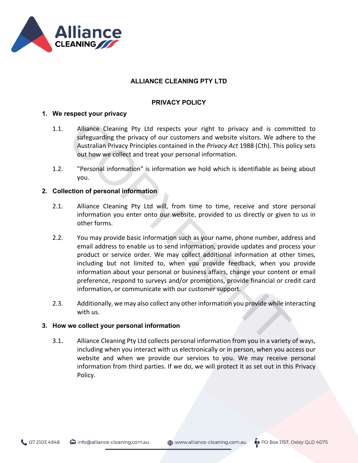

# **ALLIANCE CLEANING PTY LTD**

# **PRIVACY POLICY**

## **1. We respect your privacy**

- 1.1. Alliance Cleaning Pty Ltd respects your right to privacy and is committed to safeguarding the privacy of our customers and website visitors. We adhere to the Australian Privacy Principles contained in the *Privacy Act* 1988 (Cth). This policy sets out how we collect and treat your personal information.
- 1.2. "Personal information" is information we hold which is identifiable as being about you.

## **2. Collection of personal information**

- 2.1. Alliance Cleaning Pty Ltd will, from time to time, receive and store personal information you enter onto our website, provided to us directly or given to us in other forms.
- 2.2. You may provide basic information such as your name, phone number, address and email address to enable us to send information, provide updates and process your product or service order. We may collect additional information at other times, including but not limited to, when you provide feedback, when you provide information about your personal or business affairs, change your content or email preference, respond to surveys and/or promotions, provide financial or credit card information, or communicate with our customer support.
- 2.3. Additionally, we may also collect any other information you provide while interacting with us.

## **3. How we collect your personal information**

3.1. Alliance Cleaning Pty Ltd collects personal information from you in a variety of ways, including when you interact with us electronically or in person, when you access our website and when we provide our services to you. We may receive personal information from third parties. If we do, we will protect it as set out in this Privacy Policy.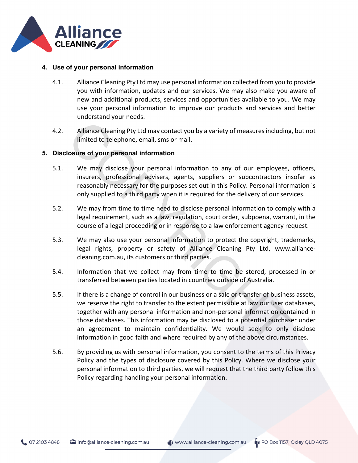

## **4. Use of your personal information**

- 4.1. Alliance Cleaning Pty Ltd may use personal information collected from you to provide you with information, updates and our services. We may also make you aware of new and additional products, services and opportunities available to you. We may use your personal information to improve our products and services and better understand your needs.
- 4.2. Alliance Cleaning Pty Ltd may contact you by a variety of measures including, but not limited to telephone, email, sms or mail.

## **5. Disclosure of your personal information**

- 5.1. We may disclose your personal information to any of our employees, officers, insurers, professional advisers, agents, suppliers or subcontractors insofar as reasonably necessary for the purposes set out in this Policy. Personal information is only supplied to a third party when it is required for the delivery of our services.
- 5.2. We may from time to time need to disclose personal information to comply with a legal requirement, such as a law, regulation, court order, subpoena, warrant, in the course of a legal proceeding or in response to a law enforcement agency request.
- 5.3. We may also use your personal information to protect the copyright, trademarks, legal rights, property or safety of Alliance Cleaning Pty Ltd, www.alliancecleaning.com.au, its customers or third parties.
- 5.4. Information that we collect may from time to time be stored, processed in or transferred between parties located in countries outside of Australia.
- 5.5. If there is a change of control in our business or a sale or transfer of business assets, we reserve the right to transfer to the extent permissible at law our user databases, together with any personal information and non-personal information contained in those databases. This information may be disclosed to a potential purchaser under an agreement to maintain confidentiality. We would seek to only disclose information in good faith and where required by any of the above circumstances.
- 5.6. By providing us with personal information, you consent to the terms of this Privacy Policy and the types of disclosure covered by this Policy. Where we disclose your personal information to third parties, we will request that the third party follow this Policy regarding handling your personal information.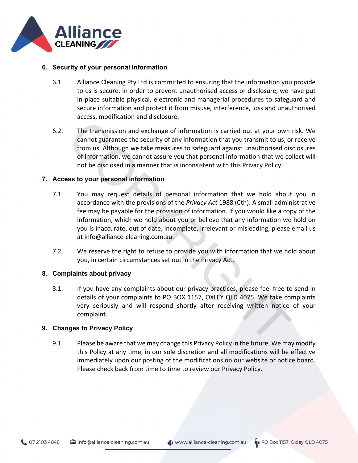

## **6. Security of your personal information**

- 6.1. Alliance Cleaning Pty Ltd is committed to ensuring that the information you provide to us is secure. In order to prevent unauthorised access or disclosure, we have put in place suitable physical, electronic and managerial procedures to safeguard and secure information and protect it from misuse, interference, loss and unauthorised access, modification and disclosure.
- 6.2. The transmission and exchange of information is carried out at your own risk. We cannot guarantee the security of any information that you transmit to us, or receive from us. Although we take measures to safeguard against unauthorised disclosures of information, we cannot assure you that personal information that we collect will not be disclosed in a manner that is inconsistent with this Privacy Policy.

## **7. Access to your personal information**

- 7.1. You may request details of personal information that we hold about you in accordance with the provisions of the *Privacy Act* 1988 (Cth). A small administrative fee may be payable for the provision of information. If you would like a copy of the information, which we hold about you or believe that any information we hold on you is inaccurate, out of date, incomplete, irrelevant or misleading, please email us at info@alliance-cleaning.com.au.
- 7.2. We reserve the right to refuse to provide you with information that we hold about you, in certain circumstances set out in the Privacy Act.

#### **8. Complaints about privacy**

8.1. If you have any complaints about our privacy practices, please feel free to send in details of your complaints to PO BOX 1157, OXLEY QLD 4075. We take complaints very seriously and will respond shortly after receiving written notice of your complaint.

#### **9. Changes to Privacy Policy**

9.1. Please be aware that we may change this Privacy Policy in the future. We may modify this Policy at any time, in our sole discretion and all modifications will be effective immediately upon our posting of the modifications on our website or notice board. Please check back from time to time to review our Privacy Policy.